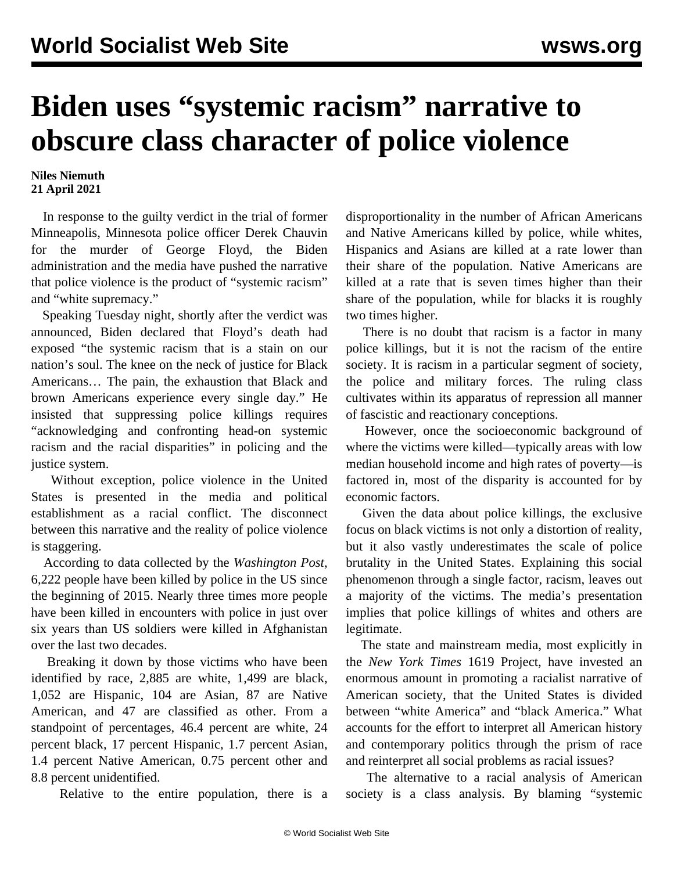## **Biden uses "systemic racism" narrative to obscure class character of police violence**

## **Niles Niemuth 21 April 2021**

 In response to the guilty verdict in the trial of former Minneapolis, Minnesota police officer Derek Chauvin for the murder of George Floyd, the Biden administration and the media have pushed the narrative that police violence is the product of "systemic racism" and "white supremacy."

 Speaking Tuesday night, shortly after the verdict was announced, Biden declared that Floyd's death had exposed "the systemic racism that is a stain on our nation's soul. The knee on the neck of justice for Black Americans… The pain, the exhaustion that Black and brown Americans experience every single day." He insisted that suppressing police killings requires "acknowledging and confronting head-on systemic racism and the racial disparities" in policing and the justice system.

 Without exception, police violence in the United States is presented in the media and political establishment as a racial conflict. The disconnect between this narrative and the reality of police violence is staggering.

 According to data collected by the *Washington Post*, 6,222 people have been killed by police in the US since the beginning of 2015. Nearly three times more people have been killed in encounters with police in just over six years than US soldiers were killed in Afghanistan over the last two decades.

 Breaking it down by those victims who have been identified by race, 2,885 are white, 1,499 are black, 1,052 are Hispanic, 104 are Asian, 87 are Native American, and 47 are classified as other. From a standpoint of percentages, 46.4 percent are white, 24 percent black, 17 percent Hispanic, 1.7 percent Asian, 1.4 percent Native American, 0.75 percent other and 8.8 percent unidentified.

Relative to the entire population, there is a

disproportionality in the number of African Americans and Native Americans killed by police, while whites, Hispanics and Asians are killed at a rate lower than their share of the population. Native Americans are killed at a rate that is seven times higher than their share of the population, while for blacks it is roughly two times higher.

 There is no doubt that racism is a factor in many police killings, but it is not the racism of the entire society. It is racism in a particular segment of society, the police and military forces. The ruling class cultivates within its apparatus of repression all manner of fascistic and reactionary conceptions.

 However, once the socioeconomic background of where the victims were killed—typically areas with low median household income and high rates of poverty—is [factored in](/en/articles/2018/12/21/kil2-d21.html), most of the disparity is accounted for by economic factors.

 Given the data about police killings, the exclusive focus on black victims is not only a distortion of reality, but it also vastly underestimates the scale of police brutality in the United States. Explaining this social phenomenon through a single factor, racism, leaves out a majority of the victims. The media's presentation implies that police killings of whites and others are legitimate.

 The state and mainstream media, most explicitly in the *New York Times* 1619 Project, have invested an enormous amount in promoting a racialist narrative of American society, that the United States is divided between "white America" and "black America." What accounts for the effort to interpret all American history and contemporary politics through the prism of race and reinterpret all social problems as racial issues?

 The alternative to a racial analysis of American society is a class analysis. By blaming "systemic